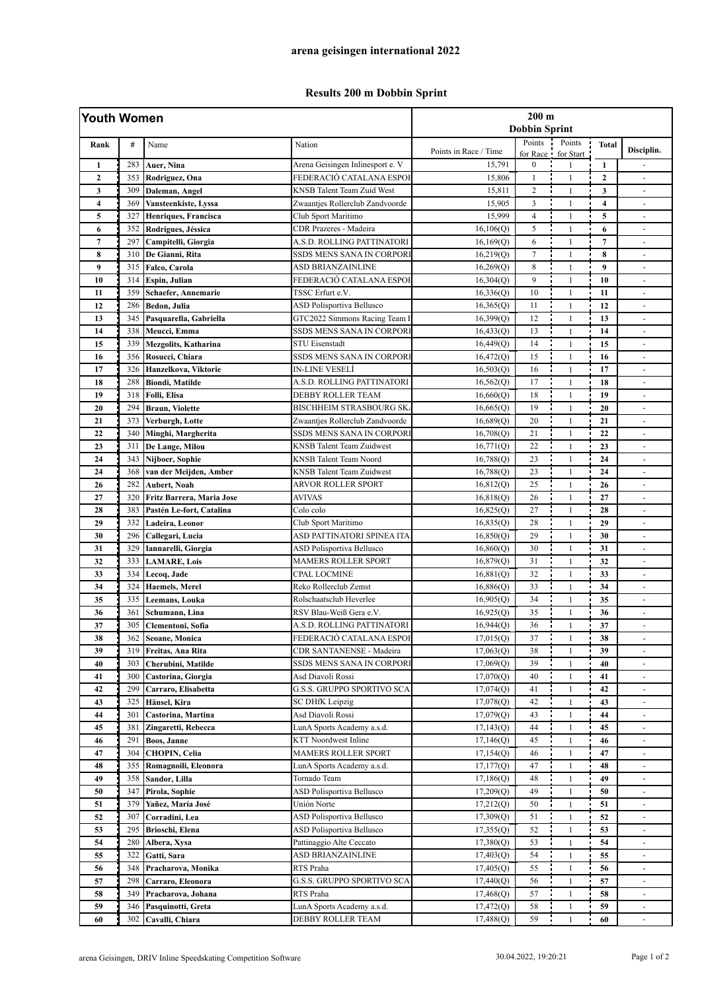## **Results 200 m Dobbin Sprint**

| Youth Women    |     |                             |                                   | $200 \text{ m}$<br><b>Dobbin Sprint</b> |                      |                     |                |                          |
|----------------|-----|-----------------------------|-----------------------------------|-----------------------------------------|----------------------|---------------------|----------------|--------------------------|
| Rank           | #   | Name                        | Nation                            | Points in Race / Time                   | Points<br>for Race ! | Points<br>for Start | <b>Total</b>   | Disciplin.               |
| $\mathbf{1}$   | 283 | Auer, Nina                  | Arena Geisingen Inlinesport e. V  | 15,791                                  | $\boldsymbol{0}$     | $\mathbf{1}$        | -1             |                          |
| $\overline{2}$ | 353 | Rodriguez, Ona              | FEDERACIÓ CATALANA ESPOI          | 15,806                                  | 1                    | $\mathbf{1}$        | $\mathbf{2}$   |                          |
| 3              | 309 | Daleman, Angel              | <b>KNSB</b> Talent Team Zuid West | 15,811                                  | $\overline{c}$       | $\mathbf{1}$        | 3              | $\blacksquare$           |
| 4              | 369 | Vansteenkiste, Lyssa        | Zwaantjes Rollerclub Zandvoorde   | 15,905                                  | 3                    | $\mathbf{1}$        | 4              | $\sim$                   |
| 5              | 327 | Henriques, Francisca        | Club Sport Maritimo               | 15,999                                  | $\overline{4}$       | $\mathbf{1}$        | 5              | $\sim$                   |
| 6              | 352 | Rodrigues, Jéssica          | CDR Prazeres - Madeira            | 16, 106(Q)                              | 5                    | $\mathbf{1}$        | 6              | $\overline{\phantom{a}}$ |
| $\overline{7}$ | 297 | Campitelli, Giorgia         | A.S.D. ROLLING PATTINATORI        | 16,169(Q)                               | 6                    | $\mathbf{1}$        | $\overline{7}$ |                          |
| 8              | 310 | De Gianni, Rita             | SSDS MENS SANA IN CORPORI         | 16,219(Q)                               | $\tau$               | $\mathbf{1}$        | 8              | $\sim$                   |
| 9              | 315 | Falco, Carola               | ASD BRIANZAINLINE                 | 16,269(0)                               | 8                    | $\mathbf{1}$        | 9              | $\sim$                   |
| 10             | 314 | Espin, Julian               | FEDERACIÓ CATALANA ESPOI          | 16,304(Q)                               | 9                    | $\mathbf{1}$        | 10             | $\overline{\phantom{a}}$ |
| 11             | 359 | Schaefer, Annemarie         | TSSC Erfurt e.V.                  | 16,336(Q)                               | 10                   | $\mathbf{1}$        | 11             | $\overline{\phantom{a}}$ |
| 12             | 286 | Bedon, Julia                | <b>ASD Polisportiva Bellusco</b>  | 16,365(Q)                               | 11                   | $\mathbf{1}$        | 12             |                          |
| 13             | 345 | Pasquarella, Gabriella      | GTC2022 Simmons Racing Team I     | 16,399(Q)                               | 12                   | $\mathbf{1}$        | 13             | $\sim$                   |
| 14             | 338 | Meucci, Emma                | SSDS MENS SANA IN CORPORI         | 16,433(Q)                               | 13                   | $\mathbf{1}$        | 14             | $\sim$                   |
| 15             | 339 | <b>Mezgolits, Katharina</b> | <b>STU Eisenstadt</b>             | 16,449(Q)                               | 14                   | $\mathbf{1}$        | 15             | $\omega$                 |
| 16             | 356 | Rosucci, Chiara             | SSDS MENS SANA IN CORPORI         | 16,472(Q)                               | 15                   | $\mathbf{1}$        | 16             | $\overline{\phantom{a}}$ |
| 17             | 326 | Hanzelkova, Viktorie        | IN-LINE VESELÍ                    | 16,503(Q)                               | 16                   | $\mathbf{1}$        | 17             | $\sim$                   |
| 18             | 288 | <b>Biondi, Matilde</b>      | A.S.D. ROLLING PATTINATORI        | 16,562(Q)                               | 17                   | $\mathbf{1}$        | 18             | $\blacksquare$           |
| 19             | 318 | Folli, Elisa                | <b>DEBBY ROLLER TEAM</b>          | 16,660(Q)                               | 18                   | $\mathbf{1}$        | 19             | $\blacksquare$           |
| 20             | 294 | <b>Braun, Violette</b>      | <b>BISCHHEIM STRASBOURG SK</b>    | 16,665(Q)                               | 19                   | $\mathbf{1}$        | 20             | $\blacksquare$           |
| 21             | 373 | Verburgh, Lotte             | Zwaantjes Rollerclub Zandvoorde   | 16,689(Q)                               | 20                   | $\mathbf{1}$        | 21             | $\blacksquare$           |
| 22             | 340 | Minghi, Margherita          | SSDS MENS SANA IN CORPORI         | 16,708(Q)                               | 21                   | $\mathbf{1}$        | 22             |                          |
| 23             | 311 | De Lange, Milou             | <b>KNSB</b> Talent Team Zuidwest  | 16,771(Q)                               | 22                   | $\mathbf{1}$        | 23             | $\blacksquare$           |
| 24             | 343 | Nijboer, Sophie             | KNSB Talent Team Noord            | 16,788(Q)                               | 23                   | $\mathbf{1}$        | 24             | $\blacksquare$           |
| 24             | 368 | van der Meijden, Amber      | <b>KNSB Talent Team Zuidwest</b>  | 16,788(Q)                               | 23                   | $\mathbf{1}$        | 24             |                          |
| 26             | 282 | Aubert, Noah                | ARVOR ROLLER SPORT                | 16,812(Q)                               | 25                   | $\mathbf{1}$        | 26             | $\blacksquare$           |
| 27             | 320 | Fritz Barrera, Maria Jose   | <b>AVIVAS</b>                     | 16,818(Q)                               | 26                   | $\mathbf{1}$        | 27             |                          |
| 28             | 383 | Pastén Le-fort, Catalina    | Colo colo                         | 16,825(Q)                               | 27                   | $\mathbf{1}$        | 28             |                          |
| 29             | 332 | Ladeira, Leonor             | Club Sport Maritimo               | 16,835(Q)                               | 28                   | $\mathbf{1}$        | 29             | $\blacksquare$           |
| 30             | 296 | Callegari, Lucia            | ASD PATTINATORI SPINEA ITA        | 16,850(Q)                               | 29                   | $\mathbf{1}$        | 30             | $\sim$                   |
| 31             | 329 | Iannarelli, Giorgia         | <b>ASD Polisportiva Bellusco</b>  | 16,860(Q)                               | 30                   | $\mathbf{1}$        | 31             | $\blacksquare$           |
| 32             | 333 | <b>LAMARE, Lois</b>         | <b>MAMERS ROLLER SPORT</b>        | 16,879(Q)                               | 31                   | $\mathbf{1}$        | 32             | $\overline{\phantom{a}}$ |
| 33             | 334 | Lecoq, Jade                 | <b>CPAL LOCMINE</b>               | 16,881(Q)                               | 32                   | $\mathbf{1}$        | 33             |                          |
| 34             | 324 | <b>Haemels</b> , Merel      | Reko Rollerclub Zemst             | 16,886(Q)                               | 33                   | $\mathbf{1}$        | 34             | $\sim$                   |
| 35             | 335 | Leemans, Louka              | Rolschaatsclub Heverlee           | 16,905(Q)                               | 34                   | $\mathbf{1}$        | 35             | $\sim$                   |
| 36             | 361 | Schumann, Lina              | RSV Blau-Weiß Gera e.V.           | 16,925(0)                               | 35                   | $\mathbf{1}$        | 36             | $\blacksquare$           |
| 37             | 305 | Clementoni, Sofia           | A.S.D. ROLLING PATTINATORI        | 16,944(Q)                               | 36                   | $\mathbf{1}$        | 37             | $\blacksquare$           |
| 38             | 362 | Seoane, Monica              | FEDERACIO CATALANA ESPOI          | 17,015(Q)                               | 37                   | 1                   | 38             | $\overline{\phantom{a}}$ |
| 39             | 319 | Freitas, Ana Rita           | CDR SANTANENSE - Madeira          | 17,063(Q)                               | 38                   | $\mathbf{1}$        | 39             |                          |
| 40             | 303 | Cherubini, Matilde          | SSDS MENS SANA IN CORPORI         | 17,069(Q)                               | 39                   | $\mathbf{1}$        | 40             |                          |
| 41             | 300 | Castorina, Giorgia          | Asd Diavoli Rossi                 | 17,070(Q)                               | 40                   | $\mathbf{1}$        | 41             | $\omega$                 |
| 42             | 299 | Carraro, Elisabetta         | G.S.S. GRUPPO SPORTIVO SCA        | 17,074(Q)                               | 41                   | $\mathbf{1}$        | 42             | $\overline{\phantom{a}}$ |
| 43             | 325 | Hänsel, Kira                | <b>SC DHfK Leipzig</b>            | 17,078(Q)                               | 42                   | 1                   | 43             | $\overline{\phantom{a}}$ |
| 44             | 301 | Castorina, Martina          | Asd Diavoli Rossi                 | 17,079(Q)                               | 43                   | 1                   | 44             |                          |
| 45             | 381 | Zingaretti, Rebecca         | LunA Sports Academy a.s.d.        | 17,143(Q)                               | 44                   | $\mathbf{1}$        | 45             |                          |
| 46             | 291 | Boos, Janne                 | <b>KTT</b> Noordwest Inline       | 17,146(Q)                               | 45                   | $\mathbf{1}$        | 46             |                          |
| 47             | 304 | <b>CHOPIN, Celia</b>        | <b>MAMERS ROLLER SPORT</b>        | 17,154(Q)                               | 46                   | $\mathbf{1}$        | 47             | $\blacksquare$           |
| 48             | 355 | Romagnoili, Eleonora        | LunA Sports Academy a.s.d.        | 17,177(Q)                               | 47                   | $\mathbf{1}$        | 48             |                          |
| 49             | 358 | Sandor, Lilla               | Tornado Team                      | 17,186(Q)                               | 48                   | 1                   | 49             | $\overline{\phantom{a}}$ |
| 50             | 347 | Pirola, Sophie              | ASD Polisportiva Bellusco         | 17,209(Q)                               | 49                   | $\mathbf{1}$        | 50             |                          |
| 51             | 379 | Yañez, María José           | Unión Norte                       | 17,212(Q)                               | 50                   | $\mathbf{1}$        | 51             | $\blacksquare$           |
| 52             | 307 | Corradini, Lea              | ASD Polisportiva Bellusco         | 17,309(Q)                               | 51                   | 1                   | 52             | $\overline{\phantom{a}}$ |
| 53             | 295 | Brioschi, Elena             | ASD Polisportiva Bellusco         | 17,355(Q)                               | 52                   | $\mathbf{1}$        | 53             | $\overline{\phantom{a}}$ |
| 54             | 280 | Albera, Xysa                | Pattinaggio Alte Ceccato          | 17,380(Q)                               | 53                   | 1                   | 54             |                          |
| 55             | 322 | Gatti, Sara                 | <b>ASD BRIANZAINLINE</b>          | 17,403(Q)                               | 54                   | $\mathbf{1}$        | 55             |                          |
| 56             | 348 | Pracharova, Monika          | RTS Praha                         | 17,405(Q)                               | 55                   | $\mathbf{1}$        | 56             |                          |
| 57             | 298 | Carraro, Eleonora           | G.S.S. GRUPPO SPORTIVO SCA        | 17,440(Q)                               | 56                   | $\mathbf{1}$        | 57             | $\blacksquare$           |
| 58             | 349 | Pracharova, Johana          | RTS Praha                         | 17,468(Q)                               | 57                   | $\mathbf{1}$        | 58             | $\blacksquare$           |
| 59             | 346 | Pasquinotti, Greta          | LunA Sports Academy a.s.d.        | 17,472(Q)                               | 58                   | 1                   | 59             | $\overline{\phantom{a}}$ |
| 60             | 302 | Cavalli, Chiara             | DEBBY ROLLER TEAM                 | 17,488(Q)                               | 59                   | $\mathbf{1}$        | 60             | $\overline{\phantom{a}}$ |